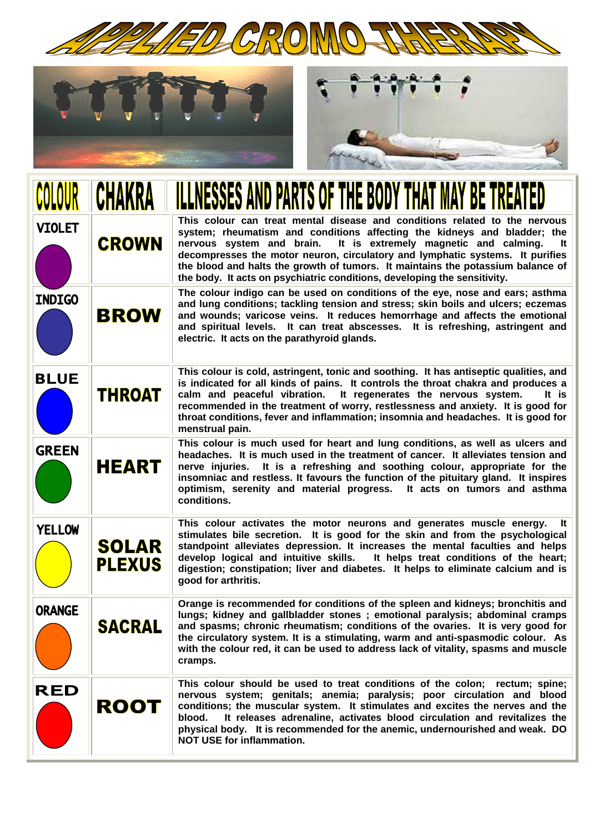





|               |                               | <b>ESSES AND PARTS OF THE BODY THAT MAY BE TRE</b>                                                                                                                                                                                                                                                                                                                                                                                                                              |
|---------------|-------------------------------|---------------------------------------------------------------------------------------------------------------------------------------------------------------------------------------------------------------------------------------------------------------------------------------------------------------------------------------------------------------------------------------------------------------------------------------------------------------------------------|
| <b>VIOLET</b> | <b>CROWN</b>                  | This colour can treat mental disease and conditions related to the nervous<br>system; rheumatism and conditions affecting the kidneys and bladder; the<br>nervous system and brain. It is extremely magnetic and calming.<br>It<br>decompresses the motor neuron, circulatory and lymphatic systems. It purifies<br>the blood and halts the growth of tumors. It maintains the potassium balance of<br>the body. It acts on psychiatric conditions, developing the sensitivity. |
| <b>INDIGO</b> | <b>BROW</b>                   | The colour indigo can be used on conditions of the eye, nose and ears; asthma<br>and lung conditions; tackling tension and stress; skin boils and ulcers; eczemas<br>and wounds; varicose veins. It reduces hemorrhage and affects the emotional<br>and spiritual levels. It can treat abscesses. It is refreshing, astringent and<br>electric. It acts on the parathyroid glands.                                                                                              |
| <b>BLUE</b>   | <b>THROAT</b>                 | This colour is cold, astringent, tonic and soothing. It has antiseptic qualities, and<br>is indicated for all kinds of pains. It controls the throat chakra and produces a<br>calm and peaceful vibration.<br>It regenerates the nervous system.<br>It is<br>recommended in the treatment of worry, restlessness and anxiety. It is good for<br>throat conditions, fever and inflammation; insomnia and headaches. It is good for<br>menstrual pain.                            |
| <b>GREEN</b>  | <b>HEART</b>                  | This colour is much used for heart and lung conditions, as well as ulcers and<br>headaches. It is much used in the treatment of cancer. It alleviates tension and<br>It is a refreshing and soothing colour, appropriate for the<br>nerve injuries.<br>insomniac and restless. It favours the function of the pituitary gland. It inspires<br>optimism, serenity and material progress.<br>It acts on tumors and asthma<br>conditions.                                          |
| <b>YELLOW</b> | <b>SOLAR</b><br><b>PLEXUS</b> | This colour activates the motor neurons and generates muscle energy.<br>lt.<br>stimulates bile secretion. It is good for the skin and from the psychological<br>standpoint alleviates depression. It increases the mental faculties and helps<br>develop logical and intuitive skills. It helps treat conditions of the heart;<br>digestion; constipation; liver and diabetes. It helps to eliminate calcium and is<br>good for arthritis.                                      |
| <b>ORANGE</b> | <b>SACRAL</b>                 | Orange is recommended for conditions of the spleen and kidneys; bronchitis and<br>lungs; kidney and gallbladder stones; emotional paralysis; abdominal cramps<br>and spasms; chronic rheumatism; conditions of the ovaries. It is very good for<br>the circulatory system. It is a stimulating, warm and anti-spasmodic colour. As<br>with the colour red, it can be used to address lack of vitality, spasms and muscle<br>cramps.                                             |
| <b>RED</b>    | <b>ROOT</b>                   | This colour should be used to treat conditions of the colon; rectum; spine;<br>nervous system; genitals; anemia; paralysis; poor circulation and blood<br>conditions; the muscular system. It stimulates and excites the nerves and the<br>It releases adrenaline, activates blood circulation and revitalizes the<br>blood.<br>physical body. It is recommended for the anemic, undernourished and weak. DO<br><b>NOT USE for inflammation.</b>                                |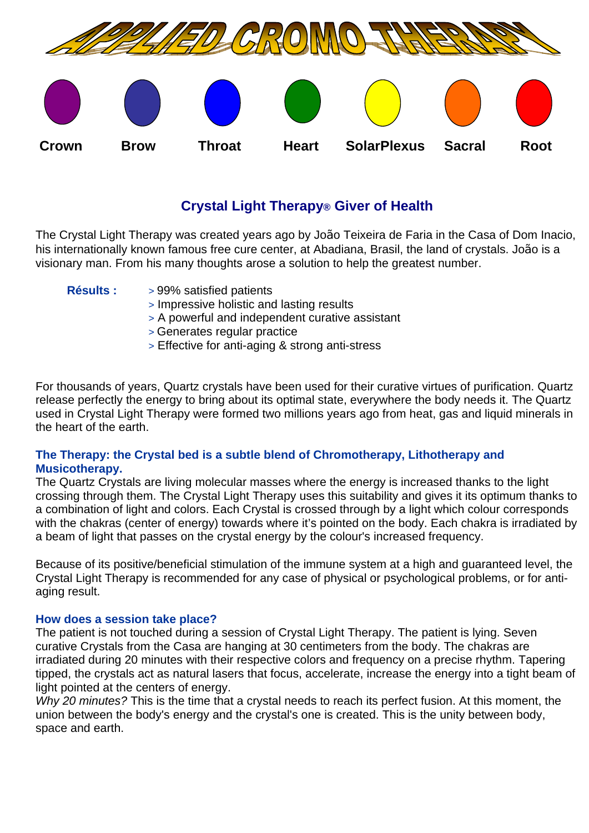

# **Crystal Light Therapy® Giver of Health**

The Crystal Light Therapy was created years ago by João Teixeira de Faria in the Casa of Dom Inacio, his internationally known famous free cure center, at Abadiana, Brasil, the land of crystals. João is a visionary man. From his many thoughts arose a solution to help the greatest number.

- **Résults :** > 99% satisfied patients
	- > Impressive holistic and lasting results
	- > A powerful and independent curative assistant
	- > Generates regular practice
	- > Effective for anti-aging & strong anti-stress

For thousands of years, Quartz crystals have been used for their curative virtues of purification. Quartz release perfectly the energy to bring about its optimal state, everywhere the body needs it. The Quartz used in Crystal Light Therapy were formed two millions years ago from heat, gas and liquid minerals in the heart of the earth.

## **The Therapy: the Crystal bed is a subtle blend of Chromotherapy, Lithotherapy and Musicotherapy.**

The Quartz Crystals are living molecular masses where the energy is increased thanks to the light crossing through them. The Crystal Light Therapy uses this suitability and gives it its optimum thanks to a combination of light and colors. Each Crystal is crossed through by a light which colour corresponds with the chakras (center of energy) towards where it's pointed on the body. Each chakra is irradiated by a beam of light that passes on the crystal energy by the colour's increased frequency.

Because of its positive/beneficial stimulation of the immune system at a high and guaranteed level, the Crystal Light Therapy is recommended for any case of physical or psychological problems, or for antiaging result.

#### **How does a session take place?**

The patient is not touched during a session of Crystal Light Therapy. The patient is lying. Seven curative Crystals from the Casa are hanging at 30 centimeters from the body. The chakras are irradiated during 20 minutes with their respective colors and frequency on a precise rhythm. Tapering tipped, the crystals act as natural lasers that focus, accelerate, increase the energy into a tight beam of light pointed at the centers of energy.

*Why 20 minutes?* This is the time that a crystal needs to reach its perfect fusion. At this moment, the union between the body's energy and the crystal's one is created. This is the unity between body, space and earth.